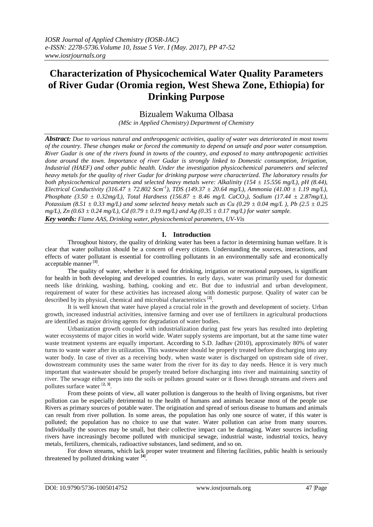# **Characterization of Physicochemical Water Quality Parameters of River Gudar (Oromia region, West Shewa Zone, Ethiopia) for Drinking Purpose**

## Bizualem Wakuma Olbasa

*(MSc in Applied Chemistry) Department of Chemistry*

*Abstract: Due to various natural and anthropogenic activities, quality of water was deteriorated in most towns of the country. These changes make or forced the community to depend on unsafe and poor water consumption. River Gudar is one of the rivers found in towns of the country, and exposed to many anthropogenic activities done around the town. Importance of river Gudar is strongly linked to Domestic consumption, Irrigation, Industrial (HAEF) and other public health. Under the investigation physicochemical parameters and selected heavy metals for the quality of river Gudar for drinking purpose were characterized. The laboratory results for both physicochemical parameters and selected heavy metals were: Alkalinity (154 ± 15.556 mg/L), pH (8.44), Electrical Conductivity (316.47*  $\pm$  72.802 Scm<sup>-1</sup>), TDS (149.37  $\pm$  20.64 mg/L), Ammonia (41.00  $\pm$  1.19 mg/L), *Phosphate (3.50 ± 0.32mg/L), Total Hardness (156.87 ± 8.46 mg/L CaCO3), Sodium (17.44 ± 2.87mg/L), Potassium* (8.51  $\pm$  0.33 mg/L) and some selected heavy metals such as Cu (0.29  $\pm$  0.04 mg/L), Pb (2.5  $\pm$  0.25 *mg/L), Zn (0.63 ± 0.24 mg/L), Cd (0.79 ± 0.19 mg/L) and Ag (0.35 ± 0.17 mg/L) for water sample. Key words: Flame AAS, Drinking water, physicochemical parameters, UV-Vis*

## **I. Introduction**

Throughout history, the quality of drinking water has been a factor in determining human welfare. It is clear that water pollution should be a concern of every citizen. Understanding the sources, interactions, and effects of water pollutant is essential for controlling pollutants in an environmentally safe and economically acceptable manner [**1]** .

The quality of water, whether it is used for drinking, irrigation or recreational purposes, is significant for health in both developing and developed countries. In early days, water was primarily used for domestic needs like drinking, washing, bathing, cooking and etc. But due to industrial and urban development, requirement of water for these activities has increased along with domestic purpose. Quality of water can be described by its physical, chemical and microbial characteristics[**2]** .

It is well known that water have played a crucial role in the growth and development of society. Urban growth, increased industrial activities, intensive farming and over use of fertilizers in agricultural productions are identified as major driving agents for degradation of water bodies.

Urbanization growth coupled with industrialization during past few years has resulted into depleting water ecosystems of major cities in world wide. Water supply systems are important, but at the same time water waste treatment systems are equally important. According to S.D. Jadhav (2010), approximately 80% of water turns to waste water after its utilization. This wastewater should be properly treated before discharging into any water body. In case of river as a receiving body, when waste water is discharged on upstream side of river, downstream community uses the same water from the river for its day to day needs. Hence it is very much important that wastewater should be properly treated before discharging into river and maintaining sanctity of river. The sewage either seeps into the soils or pollutes ground water or it flows through streams and rivers and pollutes surface water [**2, 3]** .

From these points of view, all water pollution is dangerous to the health of living organisms, but river pollution can be especially detrimental to the health of humans and animals because most of the people use Rivers as primary sources of potable water. The origination and spread of serious disease to humans and animals can result from river pollution. In some areas, the population has only one source of water, if this water is polluted; the population has no choice to use that water. Water pollution can arise from many sources. Individually the sources may be small, but their collective impact can be damaging. Water sources including rivers have increasingly become polluted with municipal sewage, industrial waste, industrial toxics, heavy metals, fertilizers, chemicals, radioactive substances, land sediment, and so on.

For down streams, which lack proper water treatment and filtering facilities, public health is seriously threatened by polluted drinking water **[4]** .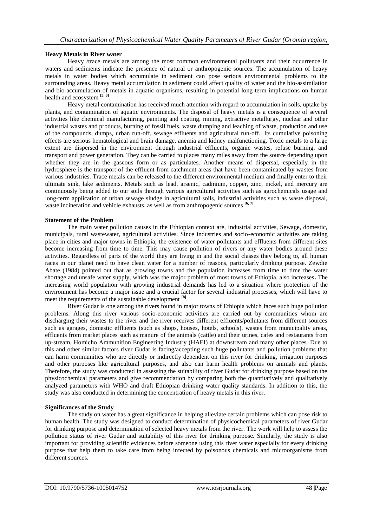## **Heavy Metals in River water**

Heavy /trace metals are among the most common environmental pollutants and their occurrence in waters and sediments indicate the presence of natural or anthropogenic sources. The accumulation of heavy metals in water bodies which accumulate in sediment can pose serious environmental problems to the surrounding areas. Heavy metal accumulation in sediment could affect quality of water and the bio-assimilation and bio-accumulation of metals in aquatic organisms, resulting in potential long-term implications on human health and ecosystem **[5, 6]** .

Heavy metal contamination has received much attention with regard to accumulation in soils, uptake by plants, and contamination of aquatic environments. The disposal of heavy metals is a consequence of several activities like chemical manufacturing, painting and coating, mining, extractive metallurgy, nuclear and other industrial wastes and products, burning of fossil fuels, waste dumping and leaching of waste, production and use of the compounds, dumps, urban run-off, sewage effluents and agricultural run-off.. Its cumulative poisoning effects are serious hematological and brain damage, anemia and kidney malfunctioning. Toxic metals to a large extent are dispersed in the environment through industrial effluents, organic wastes, refuse burning, and transport and power generation. They can be carried to places many miles away from the source depending upon whether they are in the gaseous form or as particulates. Another means of dispersal, especially in the hydrosphere is the transport of the effluent from catchment areas that have been contaminated by wastes from various industries. Trace metals can be released to the different environmental medium and finally enter to their ultimate sink, lake sediments. Metals such as lead, arsenic, cadmium, copper, zinc, nickel, and mercury are continuously being added to our soils through various agricultural activities such as agrochemicals usage and long-term application of urban sewage sludge in agricultural soils, industrial activities such as waste disposal, waste incineration and vehicle exhausts, as well as from anthropogenic sources <sup>[6, 7]</sup>.

#### **Statement of the Problem**

The main water pollution causes in the Ethiopian context are, Industrial activities, Sewage, domestic, municipals, rural wastewater, agricultural activities. Since industries and socio-economic activities are taking place in cities and major towns in Ethiopia; the existence of water pollutants and effluents from different sites become increasing from time to time. This may cause pollution of rivers or any water bodies around these activities. Regardless of parts of the world they are living in and the social classes they belong to, all human races in our planet need to have clean water for a number of reasons, particularly drinking purpose. Zewdie Abate (1984) pointed out that as growing towns and the population increases from time to time the water shortage and unsafe water supply, which was the major problem of most towns of Ethiopia, also increases**.** The increasing world population with growing industrial demands has led to a situation where protection of the environment has become a major issue and a crucial factor for several industrial processes, which will have to meet the requirements of the sustainable development **[8]** .

River Gudar is one among the rivers found in major towns of Ethiopia which faces such huge pollution problems. Along this river various socio-economic activities are carried out by communities whom are discharging their wastes to the river and the river receives different effluents/pollutants from different sources such as garages, domestic effluents (such as shops, houses, hotels, schools), wastes from municipality areas, effluents from market places such as manure of the animals (cattle) and their urines, cafes and restaurants from up-stream, Homicho Ammunition Engineering Industry (HAEI) at downstream and many other places. Due to this and other similar factors river Gudar is facing/accepting such huge pollutants and pollution problems that can harm communities who are directly or indirectly dependent on this river for drinking, irrigation purposes and other purposes like agricultural purposes, and also can harm health problems on animals and plants. Therefore, the study was conducted in assessing the suitability of river Gudar for drinking purpose based on the physicochemical parameters and give recommendation by comparing both the quantitatively and qualitatively analyzed parameters with WHO and draft Ethiopian drinking water quality standards. In addition to this, the study was also conducted in determining the concentration of heavy metals in this river.

#### **Significances of the Study**

The study on water has a great significance in helping alleviate certain problems which can pose risk to human health. The study was designed to conduct determination of physicochemical parameters of river Gudar for drinking purpose and determination of selected heavy metals from the river. The work will help to assess the pollution status of river Gudar and suitability of this river for drinking purpose. Similarly, the study is also important for providing scientific evidences before someone using this river water especially for every drinking purpose that help them to take care from being infected by poisonous chemicals and microorganisms from different sources.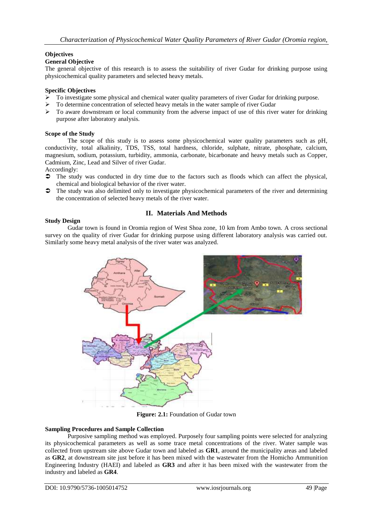## **Objectives**

## **General Objective**

The general objective of this research is to assess the suitability of river Gudar for drinking purpose using physicochemical quality parameters and selected heavy metals.

## **Specific Objectives**

- $\triangleright$  To investigate some physical and chemical water quality parameters of river Gudar for drinking purpose.
- To determine concentration of selected heavy metals in the water sample of river Gudar
- $\triangleright$  To aware downstream or local community from the adverse impact of use of this river water for drinking purpose after laboratory analysis.

#### **Scope of the Study**

The scope of this study is to assess some physicochemical water quality parameters such as pH, conductivity, total alkalinity, TDS, TSS, total hardness, chloride, sulphate, nitrate, phosphate, calcium, magnesium, sodium, potassium, turbidity, ammonia, carbonate, bicarbonate and heavy metals such as Copper, Cadmium, Zinc, Lead and Silver of river Gudar.

Accordingly:

- The study was conducted in dry time due to the factors such as floods which can affect the physical, chemical and biological behavior of the river water.
- $\bullet$  The study was also delimited only to investigate physicochemical parameters of the river and determining the concentration of selected heavy metals of the river water.

## **II. Materials And Methods**

#### **Study Design**

Gudar town is found in Oromia region of West Shoa zone, 10 km from Ambo town. A cross sectional survey on the quality of river Gudar for drinking purpose using different laboratory analysis was carried out. Similarly some heavy metal analysis of the river water was analyzed.



**Figure: 2.1:** Foundation of Gudar town

#### **Sampling Procedures and Sample Collection**

Purposive sampling method was employed. Purposely four sampling points were selected for analyzing its physicochemical parameters as well as some trace metal concentrations of the river. Water sample was collected from upstream site above Gudar town and labeled as **GR1**, around the municipality areas and labeled as **GR2**, at downstream site just before it has been mixed with the wastewater from the Homicho Ammunition Engineering Industry (HAEI) and labeled as **GR3** and after it has been mixed with the wastewater from the industry and labeled as **GR4**.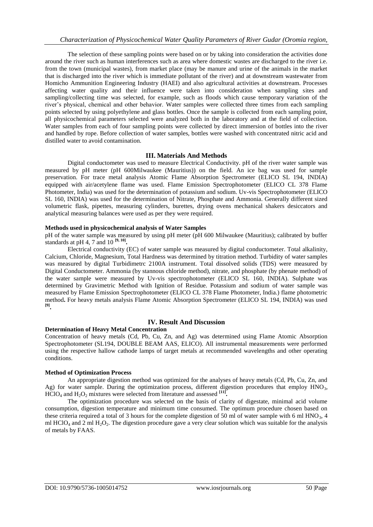The selection of these sampling points were based on or by taking into consideration the activities done around the river such as human interferences such as area where domestic wastes are discharged to the river i.e. from the town (municipal wastes), from market place (may be manure and urine of the animals in the market that is discharged into the river which is immediate pollutant of the river) and at downstream wastewater from Homicho Ammunition Engineering Industry (HAEI) and also agricultural activities at downstream. Processes affecting water quality and their influence were taken into consideration when sampling sites and sampling/collecting time was selected, for example, such as floods which cause temporary variation of the river's physical, chemical and other behavior. Water samples were collected three times from each sampling points selected by using polyethylene and glass bottles. Once the sample is collected from each sampling point, all physicochemical parameters selected were analyzed both in the laboratory and at the field of collection. Water samples from each of four sampling points were collected by direct immersion of bottles into the river and handled by rope. Before collection of water samples, bottles were washed with concentrated nitric acid and distilled water to avoid contamination.

## **III. Materials And Methods**

Digital conductometer was used to measure Electrical Conductivity. pH of the river water sample was measured by pH meter (pH 600Milwaukee (Mauritius)) on the field. An ice bag was used for sample preservation. For trace metal analysis Atomic Flame Absorption Spectrometer (ELICO SL 194, INDIA) equipped with air/acetylene flame was used. Flame Emission Spectrophotometer (ELICO CL 378 Flame Photometer, India) was used for the determination of potassium and sodium. Uv-vis Spectrophotometer (ELICO SL 160, INDIA) was used for the determination of Nitrate, Phosphate and Ammonia. Generally different sized volumetric flask, pipettes, measuring cylinders, burettes, drying ovens mechanical shakers desiccators and analytical measuring balances were used as per they were required.

#### **Methods used in physicochemical analysis of Water Samples**

pH of the water sample was measured by using pH meter (pH 600 Milwaukee (Mauritius); calibrated by buffer standards at pH 4, 7 and 10  $^{[9, 10]}$ .

Electrical conductivity (EC) of water sample was measured by digital conductometer. Total alkalinity, Calcium, Chloride, Magnesium, Total Hardness was determined by titration method. Turbidity of water samples was measured by digital Turbidimetrc 2100A instrument. Total dissolved solids (TDS) were measured by Digital Conductometer. Ammonia (by stannous chloride method), nitrate, and phosphate (by phenate method) of the water sample were measured by Uv-vis spectrophotometer (ELICO SL 160, INDIA). Sulphate was determined by Gravimetric Method with Ignition of Residue. Potassium and sodium of water sample was measured by Flame Emission Spectrophotometer (ELICO CL 378 Flame Photometer, India.) flame photometric method**.** For heavy metals analysis Flame Atomic Absorption Spectrometer (ELICO SL 194, INDIA) was used **[9] .**

## **IV. Result And Discussion**

#### **Determination of Heavy Metal Concentration**

Concentration of heavy metals (Cd, Pb, Cu, Zn, and Ag) was determined using Flame Atomic Absorption Spectrophotometer (SL194, DOUBLE BEAM AAS, ELICO). All instrumental measurements were performed using the respective hallow cathode lamps of target metals at recommended wavelengths and other operating conditions.

#### **Method of Optimization Process**

An appropriate digestion method was optimized for the analyses of heavy metals (Cd, Pb, Cu, Zn, and Ag) for water sample. During the optimization process, different digestion procedures that employ  $HNO<sub>3</sub>$ ,  $HCIO_4$  and  $H_2O_2$  mixtures were selected from literature and assessed  $\begin{bmatrix} 11 \end{bmatrix}$ .

The optimization procedure was selected on the basis of clarity of digestate, minimal acid volume consumption, digestion temperature and minimum time consumed. The optimum procedure chosen based on these criteria required a total of 3 hours for the complete digestion of 50 ml of water sample with 6 ml HNO<sub>3</sub>, 4 ml  $HClO<sub>4</sub>$  and 2 ml  $H<sub>2</sub>O<sub>2</sub>$ . The digestion procedure gave a very clear solution which was suitable for the analysis of metals by FAAS.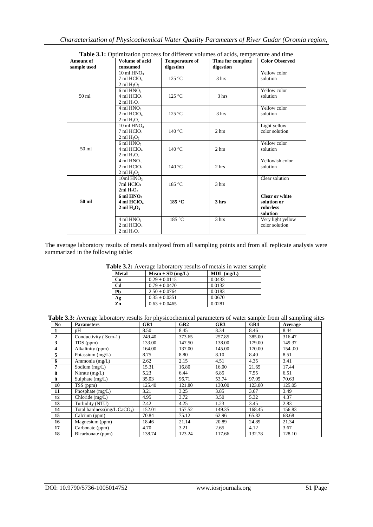| <b>Amount of</b> | <b>Volume of acid</b>             | <b>Temperature of</b> | Time for complete | <b>Color Observed</b> |
|------------------|-----------------------------------|-----------------------|-------------------|-----------------------|
| sample used      | consumed                          | digestion             | digestion         |                       |
|                  | 10 ml $HNO3$                      |                       |                   | Yellow color          |
|                  | $7 \text{ ml } HClO4$             | 125 °C                | 3 hrs             | solution              |
|                  | $2 \text{ ml } H_2O_2$            |                       |                   |                       |
|                  | $6 \text{ ml HNO}$                |                       |                   | Yellow color          |
| 50 <sub>ml</sub> | $4$ ml HClO <sub>4</sub>          | 125 °C                | 3 hrs             | solution              |
|                  | 2 ml $H_2O_2$                     |                       |                   |                       |
|                  | 4 ml HNO <sub>3</sub>             |                       |                   | Yellow color          |
|                  | $2$ ml HClO <sub>4</sub>          | 125 °C                | 3 hrs             | solution              |
|                  | $2 \text{ ml H}_2O_2$             |                       |                   |                       |
|                  | 10 ml HNO3                        |                       |                   | Light yellow          |
| 50 <sub>ml</sub> | $7$ ml HClO <sub>4</sub>          | 140 °C                | 2 hrs             | color solution        |
|                  | 2 ml $H_2O_2$                     |                       |                   |                       |
|                  | 6 ml $HNO3$                       |                       |                   | Yellow color          |
|                  | $4 \text{ ml } HClO4$             | $140^{\circ}$ C       | 2 hrs             | solution              |
|                  | 2 ml $H_2O_2$                     |                       |                   |                       |
|                  | $4 \text{ ml HNO}_3$              |                       |                   | Yellowish color       |
|                  | $2$ ml HClO <sub>4</sub>          | 140 °C                | 2 hrs             | solution              |
|                  | 2 ml $H_2O_2$                     |                       |                   |                       |
|                  | 10ml HNO <sub>3</sub>             |                       |                   | Clear solution        |
|                  | $7ml$ HClO <sub>4</sub>           | 185 °C                | 3 hrs             |                       |
|                  | 2ml H <sub>2</sub> O <sub>2</sub> |                       |                   |                       |
|                  | $6 \text{ ml HNO}$                |                       |                   | <b>Clear or white</b> |
| 50 ml            | 4 ml HClO <sub>4</sub>            | 185 °C                | 3 hrs             | solution or           |
|                  | 2 ml $H_2O_2$                     |                       |                   | colorless             |
|                  |                                   |                       |                   | solution              |
|                  | $4 \text{ ml HNO}_3$              | 185 °C                | 3 hrs             | Very light yellow     |
|                  | $2$ ml HClO <sub>4</sub>          |                       |                   | color solution        |
|                  | $2 \text{ ml H}2O2$               |                       |                   |                       |

The average laboratory results of metals analyzed from all sampling points and from all replicate analysis were summarized in the following table:

| Table 3.2: Average laboratory results of metals in water sample |  |  |
|-----------------------------------------------------------------|--|--|
|-----------------------------------------------------------------|--|--|

| <b>Metal</b> | $Mean \pm SD (mg/L)$ | $MDL$ (mg/L) |
|--------------|----------------------|--------------|
| Cu           | $0.29 \pm 0.0115$    | 0.0433       |
| Cd           | $0.79 \pm 0.0470$    | 0.0132       |
| Pb           | $2.50 \pm 0.0764$    | 0.0183       |
| Ag           | $0.35 \pm 0.0351$    | 0.0670       |
| Zn           | $0.63 \pm 0.0465$    | 0.0281       |

**Table 3.3:** Average laboratory results for physicochemical parameters of water sample from all sampling sites

| No.            | <b>Parameters</b>             | GR1    | GR2    | GR3    | GR4    | Average |
|----------------|-------------------------------|--------|--------|--------|--------|---------|
|                | pΗ                            | 8.50   | 8.45   | 8.34   | 8.46   | 8.44    |
| $\overline{2}$ | Conductivity (Scm-1)          | 249.40 | 373.65 | 257.85 | 385.00 | 316.47  |
| 3              | TDS (ppm)                     | 133.00 | 147.50 | 138.00 | 179.00 | 149.37  |
| 4              | Alkalinity (ppm)              | 164.00 | 137.00 | 145.00 | 170.00 | 154.00  |
| 5              | Potassium (mg/L)              | 8.75   | 8.80   | 8.10   | 8.40   | 8.51    |
| 6              | Ammonia (mg/L)                | 2.62   | 2.15   | 4.51   | 4.35   | 3.41    |
| 7              | Sodium $(mg/L)$               | 15.31  | 16.80  | 16.00  | 21.65  | 17.44   |
| 8              | Nitrate $(mg/L)$              | 5.23   | 6.44   | 6.85   | 7.55   | 6.51    |
| 9              | Sulphate (mg/L)               | 35.03  | 96.71  | 53.74  | 97.05  | 70.63   |
| 10             | TSS (ppm)                     | 125.40 | 121.80 | 130.00 | 123.00 | 125.05  |
| 11             | Phosphate $(mg/L)$            | 3.21   | 3.25   | 3.85   | 3.67   | 3.49    |
| 12             | Chloride (mg/L)               | 4.95   | 3.72   | 3.50   | 5.32   | 4.37    |
| 13             | Turbidity (NTU)               | 2.42   | 4.25   | 1.23   | 3.45   | 2.83    |
| 14             | Total hardness(mg/L $CaCO3$ ) | 152.01 | 157.52 | 149.35 | 168.45 | 156.83  |
| 15             | Calcium (ppm)                 | 70.84  | 75.12  | 62.96  | 65.82  | 68.68   |
| 16             | Magnesium (ppm)               | 18.46  | 21.14  | 20.89  | 24.89  | 21.34   |
| 17             | Carbonate (ppm)               | 4.70   | 3.21   | 2.65   | 4.12   | 3.67    |
| 18             | Bicarbonate (ppm)             | 138.74 | 123.24 | 117.66 | 132.78 | 128.10  |